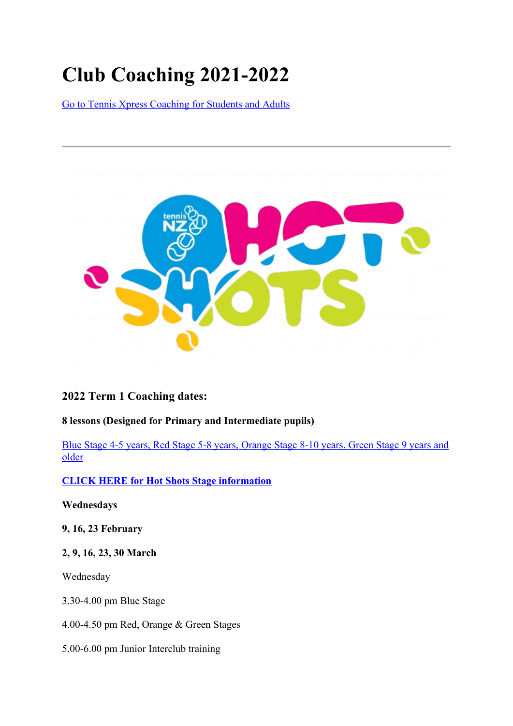# **Club Coaching 2021-2022**

Go to Tennis Xpress Coaching for Students and Adults



# **2022 Term 1 Coaching dates:**

# **8 lessons (Designed for Primary and Intermediate pupils)**

 Blue Stage 4-5 years, Red Stage 5-8 years, Orange Stage 8-10 years, Green Stage 9 years and older

# **CLICK HERE for Hot Shots Stage information**

**Wednesdays**

**9, 16, 23 February**

## **2, 9, 16, 23, 30 March**

Wednesday

3.30-4.00 pm Blue Stage

4.00-4.50 pm Red, Orange & Green Stages

5.00-6.00 pm Junior Interclub training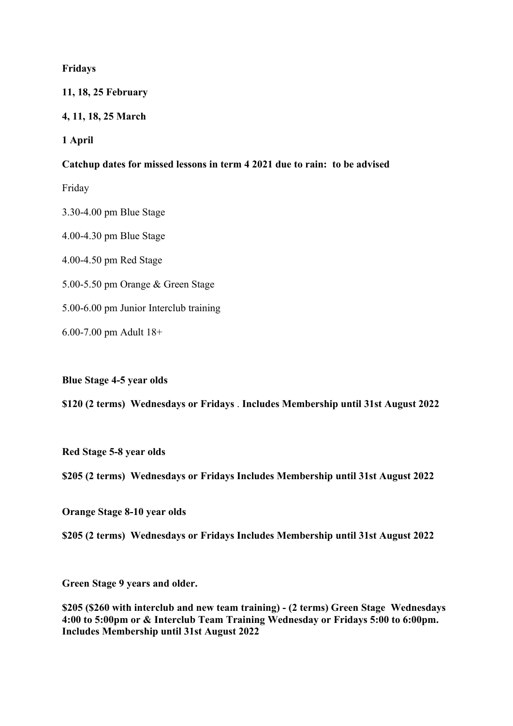#### **Fridays**

#### **11, 18, 25 February**

### **4, 11, 18, 25 March**

**1 April**

#### **Catchup dates for missed lessons in term 4 2021 due to rain: to be advised**

Friday

3.30-4.00 pm Blue Stage

4.00-4.30 pm Blue Stage

4.00-4.50 pm Red Stage

5.00-5.50 pm Orange & Green Stage

5.00-6.00 pm Junior Interclub training

6.00-7.00 pm Adult 18+

**Blue Stage 4-5 year olds**

**\$120 (2 terms) Wednesdays or Fridays** . **Includes Membership until 31st August 2022**

**Red Stage 5-8 year olds**

#### **\$205 (2 terms) Wednesdays or Fridays Includes Membership until 31st August 2022**

**Orange Stage 8-10 year olds**

**\$205 (2 terms) Wednesdays or Fridays Includes Membership until 31st August 2022**

**Green Stage 9 years and older.**

**\$205 (\$260 with interclub and new team training) - (2 terms) Green Stage Wednesdays 4:00 to 5:00pm or & Interclub Team Training Wednesday or Fridays 5:00 to 6:00pm. Includes Membership until 31st August 2022**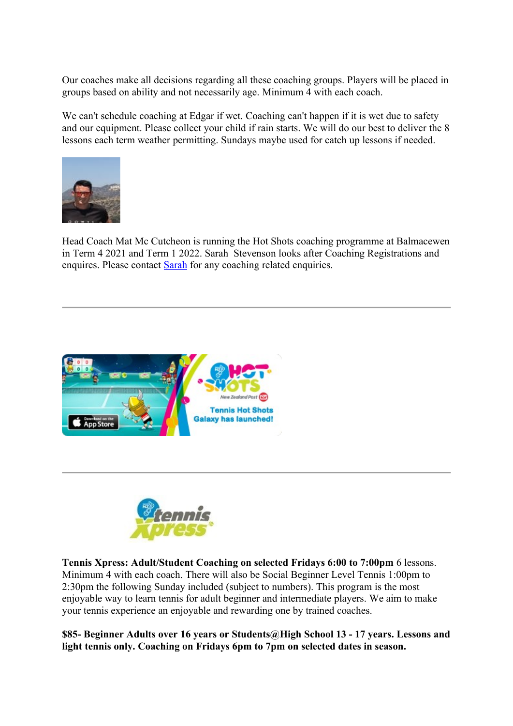Our coaches make all decisions regarding all these coaching groups. Players will be placed in groups based on ability and not necessarily age. Minimum 4 with each coach.

We can't schedule coaching at Edgar if wet. Coaching can't happen if it is wet due to safety and our equipment. Please collect your child if rain starts. We will do our best to deliver the 8 lessons each term weather permitting. Sundays maybe used for catch up lessons if needed.



Head Coach Mat Mc Cutcheon is running the Hot Shots coaching programme at Balmacewen in Term 4 2021 and Term 1 2022. Sarah Stevenson looks after Coaching Registrations and enquires. Please contact Sarah for any coaching related enquiries.





**Tennis Xpress: Adult/Student Coaching on selected Fridays 6:00 to 7:00pm** 6 lessons. Minimum 4 with each coach. There will also be Social Beginner Level Tennis 1:00pm to 2:30pm the following Sunday included (subject to numbers). This program is the most enjoyable way to learn tennis for adult beginner and intermediate players. We aim to make your tennis experience an enjoyable and rewarding one by trained coaches.

**\$85- Beginner Adults over 16 years or Students@High School 13 - 17 years. Lessons and light tennis only. Coaching on Fridays 6pm to 7pm on selected dates in season.**